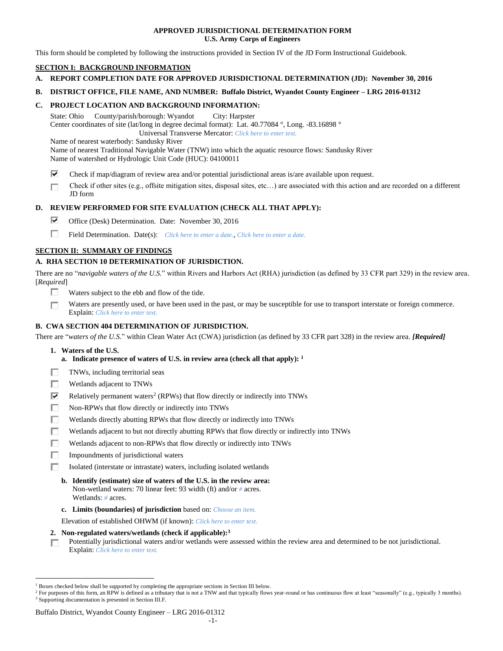## **APPROVED JURISDICTIONAL DETERMINATION FORM U.S. Army Corps of Engineers**

This form should be completed by following the instructions provided in Section IV of the JD Form Instructional Guidebook.

## **SECTION I: BACKGROUND INFORMATION**

- **A. REPORT COMPLETION DATE FOR APPROVED JURISDICTIONAL DETERMINATION (JD): November 30, 2016**
- **B. DISTRICT OFFICE, FILE NAME, AND NUMBER: Buffalo District, Wyandot County Engineer – LRG 2016-01312**

## **C. PROJECT LOCATION AND BACKGROUND INFORMATION:**

State: Ohio County/parish/borough: Wyandot City: Harpster Center coordinates of site (lat/long in degree decimal format): Lat. 40.77084 °, Long. -83.16898 °

Universal Transverse Mercator: *Click here to enter text.*

Name of nearest waterbody: Sandusky River

Name of nearest Traditional Navigable Water (TNW) into which the aquatic resource flows: Sandusky River Name of watershed or Hydrologic Unit Code (HUC): 04100011

- ⊽ Check if map/diagram of review area and/or potential jurisdictional areas is/are available upon request.
- Check if other sites (e.g., offsite mitigation sites, disposal sites, etc…) are associated with this action and are recorded on a different п JD form

## **D. REVIEW PERFORMED FOR SITE EVALUATION (CHECK ALL THAT APPLY):**

- ⊽. Office (Desk) Determination. Date: November 30, 2016
- п Field Determination. Date(s): *Click here to enter a date.*, *Click here to enter a date.*

## **SECTION II: SUMMARY OF FINDINGS**

## **A. RHA SECTION 10 DETERMINATION OF JURISDICTION.**

There are no "*navigable waters of the U.S.*" within Rivers and Harbors Act (RHA) jurisdiction (as defined by 33 CFR part 329) in the review area. [*Required*]

- п Waters subject to the ebb and flow of the tide.
- Waters are presently used, or have been used in the past, or may be susceptible for use to transport interstate or foreign commerce. П Explain: *Click here to enter text.*

## **B. CWA SECTION 404 DETERMINATION OF JURISDICTION.**

There are "*waters of the U.S.*" within Clean Water Act (CWA) jurisdiction (as defined by 33 CFR part 328) in the review area. *[Required]*

**1. Waters of the U.S.**

 $\overline{a}$ 

- **a. Indicate presence of waters of U.S. in review area (check all that apply): 1**
- п TNWs, including territorial seas
- П Wetlands adjacent to TNWs
- ⊽ Relatively permanent waters<sup>2</sup> (RPWs) that flow directly or indirectly into TNWs
- п Non-RPWs that flow directly or indirectly into TNWs
- П Wetlands directly abutting RPWs that flow directly or indirectly into TNWs
- п Wetlands adjacent to but not directly abutting RPWs that flow directly or indirectly into TNWs
- Wetlands adjacent to non-RPWs that flow directly or indirectly into TNWs п
- п. Impoundments of jurisdictional waters
- П. Isolated (interstate or intrastate) waters, including isolated wetlands
	- **b. Identify (estimate) size of waters of the U.S. in the review area:** Non-wetland waters: 70 linear feet: 93 width (ft) and/or *#* acres. Wetlands: *#* acres.
	- **c. Limits (boundaries) of jurisdiction** based on: *Choose an item.*

Elevation of established OHWM (if known): *Click here to enter text.*

- **2. Non-regulated waters/wetlands (check if applicable): 3**
- Potentially jurisdictional waters and/or wetlands were assessed within the review area and determined to be not jurisdictional. п. Explain: *Click here to enter text.*

<sup>1</sup> Boxes checked below shall be supported by completing the appropriate sections in Section III below.

<sup>&</sup>lt;sup>2</sup> For purposes of this form, an RPW is defined as a tributary that is not a TNW and that typically flows year-round or has continuous flow at least "seasonally" (e.g., typically 3 months). <sup>3</sup> Supporting documentation is presented in Section III.F.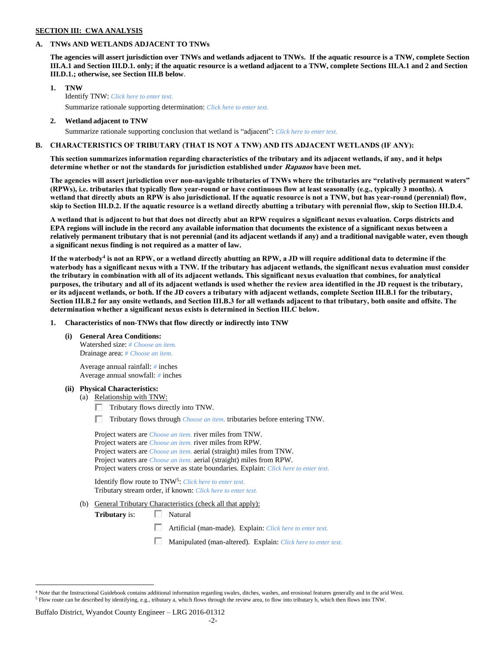## **SECTION III: CWA ANALYSIS**

## **A. TNWs AND WETLANDS ADJACENT TO TNWs**

**The agencies will assert jurisdiction over TNWs and wetlands adjacent to TNWs. If the aquatic resource is a TNW, complete Section III.A.1 and Section III.D.1. only; if the aquatic resource is a wetland adjacent to a TNW, complete Sections III.A.1 and 2 and Section III.D.1.; otherwise, see Section III.B below**.

- **1. TNW**  Identify TNW: *Click here to enter text.* Summarize rationale supporting determination: *Click here to enter text.*
- **2. Wetland adjacent to TNW**

## Summarize rationale supporting conclusion that wetland is "adjacent": *Click here to enter text.*

## **B. CHARACTERISTICS OF TRIBUTARY (THAT IS NOT A TNW) AND ITS ADJACENT WETLANDS (IF ANY):**

**This section summarizes information regarding characteristics of the tributary and its adjacent wetlands, if any, and it helps determine whether or not the standards for jurisdiction established under Rapanos have been met.** 

**The agencies will assert jurisdiction over non-navigable tributaries of TNWs where the tributaries are "relatively permanent waters" (RPWs), i.e. tributaries that typically flow year-round or have continuous flow at least seasonally (e.g., typically 3 months). A wetland that directly abuts an RPW is also jurisdictional. If the aquatic resource is not a TNW, but has year-round (perennial) flow, skip to Section III.D.2. If the aquatic resource is a wetland directly abutting a tributary with perennial flow, skip to Section III.D.4.**

**A wetland that is adjacent to but that does not directly abut an RPW requires a significant nexus evaluation. Corps districts and EPA regions will include in the record any available information that documents the existence of a significant nexus between a relatively permanent tributary that is not perennial (and its adjacent wetlands if any) and a traditional navigable water, even though a significant nexus finding is not required as a matter of law.**

**If the waterbody<sup>4</sup> is not an RPW, or a wetland directly abutting an RPW, a JD will require additional data to determine if the waterbody has a significant nexus with a TNW. If the tributary has adjacent wetlands, the significant nexus evaluation must consider the tributary in combination with all of its adjacent wetlands. This significant nexus evaluation that combines, for analytical purposes, the tributary and all of its adjacent wetlands is used whether the review area identified in the JD request is the tributary, or its adjacent wetlands, or both. If the JD covers a tributary with adjacent wetlands, complete Section III.B.1 for the tributary, Section III.B.2 for any onsite wetlands, and Section III.B.3 for all wetlands adjacent to that tributary, both onsite and offsite. The determination whether a significant nexus exists is determined in Section III.C below.**

**1. Characteristics of non-TNWs that flow directly or indirectly into TNW**

**(i) General Area Conditions:**

Watershed size: *# Choose an item.* Drainage area: *# Choose an item.*

Average annual rainfall: *#* inches Average annual snowfall: *#* inches

#### **(ii) Physical Characteristics:**

- (a) Relationship with TNW:
	- $\Box$  Tributary flows directly into TNW.

Tributary flows through *Choose an item.* tributaries before entering TNW.

Project waters are *Choose an item.* river miles from TNW. Project waters are *Choose an item.* river miles from RPW. Project waters are *Choose an item.* aerial (straight) miles from TNW. Project waters are *Choose an item.* aerial (straight) miles from RPW. Project waters cross or serve as state boundaries. Explain: *Click here to enter text.*

Identify flow route to TNW<sup>5</sup>: Click here to enter text. Tributary stream order, if known: *Click here to enter text.*

(b) General Tributary Characteristics (check all that apply):

**Tributary** is: □ Natural

 $\Box$ Artificial (man-made). Explain: *Click here to enter text.*

Manipulated (man-altered). Explain: *Click here to enter text.*

#### Buffalo District, Wyandot County Engineer – LRG 2016-01312

 $\overline{a}$ 

 $4$  Note that the Instructional Guidebook contains additional information regarding swales, ditches, washes, and erosional features generally and in the arid West. <sup>5</sup> Flow route can be described by identifying, e.g., tributary a, which flows through the review area, to flow into tributary b, which then flows into TNW.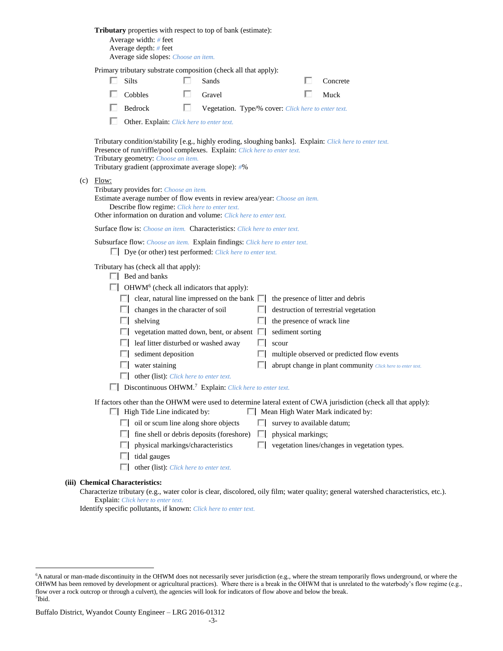|                                                       |                                                                                                                                                                                                                                                                 | Average width: # feet<br>Average depth: # feet<br>Average side slopes: Choose an item.                                                                                                                                                                                              | <b>Tributary</b> properties with respect to top of bank (estimate):                       |                  |                                                     |                                                                                                                                   |  |  |  |  |  |
|-------------------------------------------------------|-----------------------------------------------------------------------------------------------------------------------------------------------------------------------------------------------------------------------------------------------------------------|-------------------------------------------------------------------------------------------------------------------------------------------------------------------------------------------------------------------------------------------------------------------------------------|-------------------------------------------------------------------------------------------|------------------|-----------------------------------------------------|-----------------------------------------------------------------------------------------------------------------------------------|--|--|--|--|--|
|                                                       | <b>I</b>                                                                                                                                                                                                                                                        | Silts                                                                                                                                                                                                                                                                               | Primary tributary substrate composition (check all that apply):<br>n.<br>Sands            |                  |                                                     | Concrete                                                                                                                          |  |  |  |  |  |
|                                                       |                                                                                                                                                                                                                                                                 | Cobbles                                                                                                                                                                                                                                                                             | Gravel                                                                                    |                  |                                                     | Muck                                                                                                                              |  |  |  |  |  |
|                                                       |                                                                                                                                                                                                                                                                 | $\Box$ Bedrock                                                                                                                                                                                                                                                                      | $\mathbf{L}$                                                                              |                  | Vegetation. Type/% cover: Click here to enter text. |                                                                                                                                   |  |  |  |  |  |
|                                                       | Other. Explain: Click here to enter text.                                                                                                                                                                                                                       |                                                                                                                                                                                                                                                                                     |                                                                                           |                  |                                                     |                                                                                                                                   |  |  |  |  |  |
|                                                       |                                                                                                                                                                                                                                                                 | Tributary condition/stability [e.g., highly eroding, sloughing banks]. Explain: Click here to enter text.<br>Presence of run/riffle/pool complexes. Explain: Click here to enter text.<br>Tributary geometry: Choose an item.<br>Tributary gradient (approximate average slope): #% |                                                                                           |                  |                                                     |                                                                                                                                   |  |  |  |  |  |
|                                                       | $(c)$ Flow:<br>Tributary provides for: Choose an item.<br>Estimate average number of flow events in review area/year: Choose an item.<br>Describe flow regime: Click here to enter text.<br>Other information on duration and volume: Click here to enter text. |                                                                                                                                                                                                                                                                                     |                                                                                           |                  |                                                     |                                                                                                                                   |  |  |  |  |  |
|                                                       |                                                                                                                                                                                                                                                                 |                                                                                                                                                                                                                                                                                     | <b>Surface flow is:</b> Choose an item. <b>Characteristics:</b> Click here to enter text. |                  |                                                     |                                                                                                                                   |  |  |  |  |  |
|                                                       | Subsurface flow: Choose an item. Explain findings: Click here to enter text.<br>$\Box$ Dye (or other) test performed: <i>Click here to enter text.</i>                                                                                                          |                                                                                                                                                                                                                                                                                     |                                                                                           |                  |                                                     |                                                                                                                                   |  |  |  |  |  |
|                                                       | Tributary has (check all that apply):<br>$\Box$ Bed and banks                                                                                                                                                                                                   |                                                                                                                                                                                                                                                                                     |                                                                                           |                  |                                                     |                                                                                                                                   |  |  |  |  |  |
|                                                       |                                                                                                                                                                                                                                                                 |                                                                                                                                                                                                                                                                                     | $\Box$ OHWM <sup>6</sup> (check all indicators that apply):                               |                  |                                                     |                                                                                                                                   |  |  |  |  |  |
|                                                       |                                                                                                                                                                                                                                                                 | $\Box$ clear, natural line impressed on the bank $\Box$ the presence of litter and debris<br>$\Box$ changes in the character of soil                                                                                                                                                |                                                                                           |                  | destruction of terrestrial vegetation               |                                                                                                                                   |  |  |  |  |  |
|                                                       |                                                                                                                                                                                                                                                                 | $\Box$ shelving                                                                                                                                                                                                                                                                     |                                                                                           | ш                | the presence of wrack line                          |                                                                                                                                   |  |  |  |  |  |
| $\Box$ vegetation matted down, bent, or absent $\Box$ |                                                                                                                                                                                                                                                                 |                                                                                                                                                                                                                                                                                     |                                                                                           | sediment sorting |                                                     |                                                                                                                                   |  |  |  |  |  |
|                                                       |                                                                                                                                                                                                                                                                 |                                                                                                                                                                                                                                                                                     | $\Box$ leaf litter disturbed or washed away                                               | ш                | scour                                               |                                                                                                                                   |  |  |  |  |  |
|                                                       |                                                                                                                                                                                                                                                                 | $\Box$ sediment deposition                                                                                                                                                                                                                                                          |                                                                                           |                  |                                                     | multiple observed or predicted flow events                                                                                        |  |  |  |  |  |
|                                                       |                                                                                                                                                                                                                                                                 | $\Box$ water staining                                                                                                                                                                                                                                                               |                                                                                           |                  |                                                     | abrupt change in plant community Click here to enter text.                                                                        |  |  |  |  |  |
|                                                       |                                                                                                                                                                                                                                                                 |                                                                                                                                                                                                                                                                                     | other (list): <i>Click here to enter text.</i>                                            |                  |                                                     |                                                                                                                                   |  |  |  |  |  |
|                                                       | Discontinuous OHWM. <sup>7</sup> Explain: Click here to enter text.                                                                                                                                                                                             |                                                                                                                                                                                                                                                                                     |                                                                                           |                  |                                                     |                                                                                                                                   |  |  |  |  |  |
|                                                       |                                                                                                                                                                                                                                                                 | If factors other than the OHWM were used to determine lateral extent of CWA jurisdiction (check all that apply):<br>Mean High Water Mark indicated by:<br>$\Box$ High Tide Line indicated by:                                                                                       |                                                                                           |                  |                                                     |                                                                                                                                   |  |  |  |  |  |
|                                                       |                                                                                                                                                                                                                                                                 |                                                                                                                                                                                                                                                                                     | $\Box$ oil or scum line along shore objects                                               | $\Box$           | survey to available datum;                          |                                                                                                                                   |  |  |  |  |  |
|                                                       |                                                                                                                                                                                                                                                                 |                                                                                                                                                                                                                                                                                     | $\Box$ fine shell or debris deposits (foreshore)                                          | ш                | physical markings;                                  |                                                                                                                                   |  |  |  |  |  |
|                                                       |                                                                                                                                                                                                                                                                 |                                                                                                                                                                                                                                                                                     | physical markings/characteristics                                                         | l i              |                                                     | vegetation lines/changes in vegetation types.                                                                                     |  |  |  |  |  |
|                                                       |                                                                                                                                                                                                                                                                 | tidal gauges                                                                                                                                                                                                                                                                        | other (list): Click here to enter text.                                                   |                  |                                                     |                                                                                                                                   |  |  |  |  |  |
|                                                       | <b>Chemical Characteristics:</b>                                                                                                                                                                                                                                |                                                                                                                                                                                                                                                                                     |                                                                                           |                  |                                                     | Characterize tributary (e.g., water color is clear, discolored, oily film; water quality; general watershed characteristics, etc. |  |  |  |  |  |

ize tributary (e.g., water color is clear, discolored, oily film; water quality; general watershed characteristics, etc.). Explain: *Click here to enter text.*

Identify specific pollutants, if known: *Click here to enter text.*

**(iii)** 

 $\overline{a}$ 

<sup>6</sup>A natural or man-made discontinuity in the OHWM does not necessarily sever jurisdiction (e.g., where the stream temporarily flows underground, or where the OHWM has been removed by development or agricultural practices). Where there is a break in the OHWM that is unrelated to the waterbody's flow regime (e.g., flow over a rock outcrop or through a culvert), the agencies will look for indicators of flow above and below the break. 7 Ibid.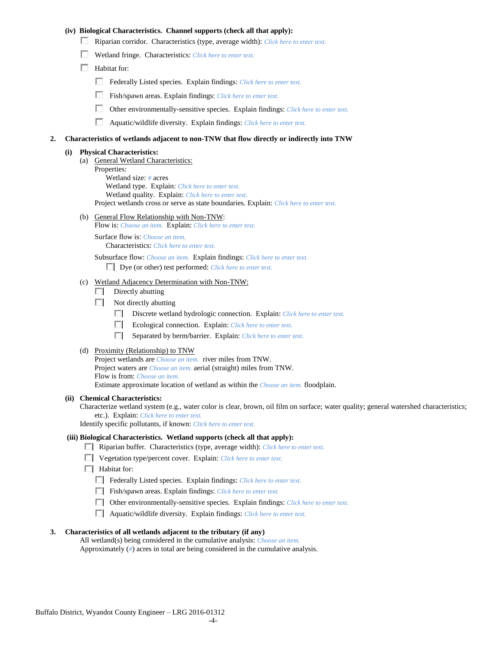## **(iv) Biological Characteristics. Channel supports (check all that apply):**

- Riparian corridor. Characteristics (type, average width): *Click here to enter text.*
- Wetland fringe. Characteristics: *Click here to enter text.*
- $\Box$  Habitat for:
	- Federally Listed species. Explain findings: *Click here to enter text.*
	- П. Fish/spawn areas. Explain findings: *Click here to enter text.*
	- П. Other environmentally-sensitive species. Explain findings: *Click here to enter text.*
	- П. Aquatic/wildlife diversity. Explain findings: *Click here to enter text.*

#### **2. Characteristics of wetlands adjacent to non-TNW that flow directly or indirectly into TNW**

#### **(i) Physical Characteristics:**

- (a) General Wetland Characteristics:
	- Properties:

Wetland size: *#* acres Wetland type. Explain: *Click here to enter text.*

Wetland quality. Explain: *Click here to enter text.*

Project wetlands cross or serve as state boundaries. Explain: *Click here to enter text.*

(b) General Flow Relationship with Non-TNW: Flow is: *Choose an item.* Explain: *Click here to enter text.*

Surface flow is: *Choose an item.* Characteristics: *Click here to enter text.*

Subsurface flow: *Choose an item.* Explain findings: *Click here to enter text.*

Dye (or other) test performed: *Click here to enter text.*

#### (c) Wetland Adjacency Determination with Non-TNW:

- $\Box$  Directly abutting
- Not directly abutting
	- Discrete wetland hydrologic connection. Explain: *Click here to enter text.*
	- $\Box$ Ecological connection. Explain: *Click here to enter text.*
	- $\Box$ Separated by berm/barrier. Explain: *Click here to enter text.*
- (d) Proximity (Relationship) to TNW

Project wetlands are *Choose an item.* river miles from TNW. Project waters are *Choose an item.* aerial (straight) miles from TNW. Flow is from: *Choose an item.* Estimate approximate location of wetland as within the *Choose an item.* floodplain.

#### **(ii) Chemical Characteristics:**

Characterize wetland system (e.g., water color is clear, brown, oil film on surface; water quality; general watershed characteristics; etc.). Explain: *Click here to enter text.*

Identify specific pollutants, if known: *Click here to enter text.*

#### **(iii) Biological Characteristics. Wetland supports (check all that apply):**

- Riparian buffer. Characteristics (type, average width): *Click here to enter text.*
- Vegetation type/percent cover. Explain: *Click here to enter text.*
- $\Box$  Habitat for:
	- Federally Listed species. Explain findings: *Click here to enter text*.
	- Fish/spawn areas. Explain findings: *Click here to enter text*.
	- Other environmentally-sensitive species. Explain findings: *Click here to enter text.*
	- Aquatic/wildlife diversity. Explain findings: *Click here to enter text.*

#### **3. Characteristics of all wetlands adjacent to the tributary (if any)**

All wetland(s) being considered in the cumulative analysis: *Choose an item.* Approximately (*#*) acres in total are being considered in the cumulative analysis.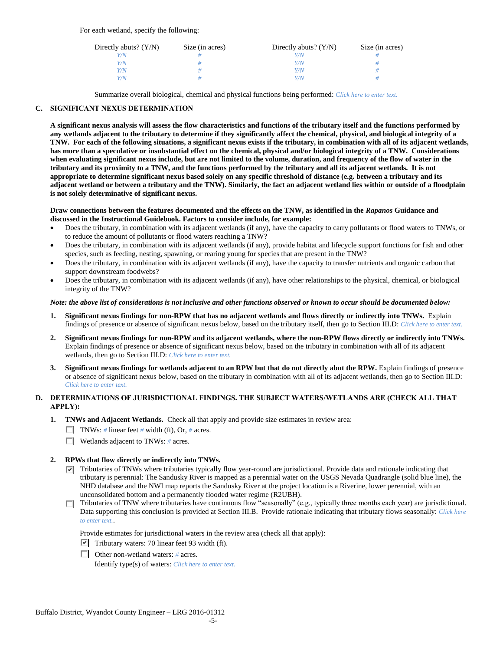For each wetland, specify the following:

| Directly abuts? $(Y/N)$ | Size (in acres) | Directly abuts? $(Y/N)$ | Size (in acres) |
|-------------------------|-----------------|-------------------------|-----------------|
|                         |                 |                         |                 |
| Y/N                     |                 | Y/N                     |                 |
| Y / N                   |                 | Y/N                     |                 |
|                         |                 | Y / N                   |                 |

Summarize overall biological, chemical and physical functions being performed: *Click here to enter text.*

## **C. SIGNIFICANT NEXUS DETERMINATION**

**A significant nexus analysis will assess the flow characteristics and functions of the tributary itself and the functions performed by any wetlands adjacent to the tributary to determine if they significantly affect the chemical, physical, and biological integrity of a TNW. For each of the following situations, a significant nexus exists if the tributary, in combination with all of its adjacent wetlands, has more than a speculative or insubstantial effect on the chemical, physical and/or biological integrity of a TNW. Considerations when evaluating significant nexus include, but are not limited to the volume, duration, and frequency of the flow of water in the tributary and its proximity to a TNW, and the functions performed by the tributary and all its adjacent wetlands. It is not appropriate to determine significant nexus based solely on any specific threshold of distance (e.g. between a tributary and its adjacent wetland or between a tributary and the TNW). Similarly, the fact an adjacent wetland lies within or outside of a floodplain is not solely determinative of significant nexus.** 

#### **Draw connections between the features documented and the effects on the TNW, as identified in the** *Rapanos* **Guidance and discussed in the Instructional Guidebook. Factors to consider include, for example:**

- Does the tributary, in combination with its adjacent wetlands (if any), have the capacity to carry pollutants or flood waters to TNWs, or to reduce the amount of pollutants or flood waters reaching a TNW?
- Does the tributary, in combination with its adjacent wetlands (if any), provide habitat and lifecycle support functions for fish and other species, such as feeding, nesting, spawning, or rearing young for species that are present in the TNW?
- Does the tributary, in combination with its adjacent wetlands (if any), have the capacity to transfer nutrients and organic carbon that support downstream foodwebs?
- Does the tributary, in combination with its adjacent wetlands (if any), have other relationships to the physical, chemical, or biological integrity of the TNW?

## *Note: the above list of considerations is not inclusive and other functions observed or known to occur should be documented below:*

- **1. Significant nexus findings for non-RPW that has no adjacent wetlands and flows directly or indirectly into TNWs.** Explain findings of presence or absence of significant nexus below, based on the tributary itself, then go to Section III.D: *Click here to enter text.*
- **2. Significant nexus findings for non-RPW and its adjacent wetlands, where the non-RPW flows directly or indirectly into TNWs.**  Explain findings of presence or absence of significant nexus below, based on the tributary in combination with all of its adjacent wetlands, then go to Section III.D: *Click here to enter text.*
- **3. Significant nexus findings for wetlands adjacent to an RPW but that do not directly abut the RPW.** Explain findings of presence or absence of significant nexus below, based on the tributary in combination with all of its adjacent wetlands, then go to Section III.D: *Click here to enter text.*

## **D. DETERMINATIONS OF JURISDICTIONAL FINDINGS. THE SUBJECT WATERS/WETLANDS ARE (CHECK ALL THAT APPLY):**

- **1. TNWs and Adjacent Wetlands.** Check all that apply and provide size estimates in review area:
	- TNWs: *#* linear feet *#* width (ft), Or, *#* acres.
	- Wetlands adjacent to TNWs: *#* acres.

## **2. RPWs that flow directly or indirectly into TNWs.**

- $\nabla$  Tributaries of TNWs where tributaries typically flow year-round are jurisdictional. Provide data and rationale indicating that tributary is perennial: The Sandusky River is mapped as a perennial water on the USGS Nevada Quadrangle (solid blue line), the NHD database and the NWI map reports the Sandusky River at the project location is a Riverine, lower perennial, with an unconsolidated bottom and a permanently flooded water regime (R2UBH).
- $\Box$  Tributaries of TNW where tributaries have continuous flow "seasonally" (e.g., typically three months each year) are jurisdictional. Data supporting this conclusion is provided at Section III.B. Provide rationale indicating that tributary flows seasonally: *Click here to enter text.*.

Provide estimates for jurisdictional waters in the review area (check all that apply):

- $\triangledown$  Tributary waters: 70 linear feet 93 width (ft).
- Other non-wetland waters: *#* acres. Identify type(s) of waters: *Click here to enter text.*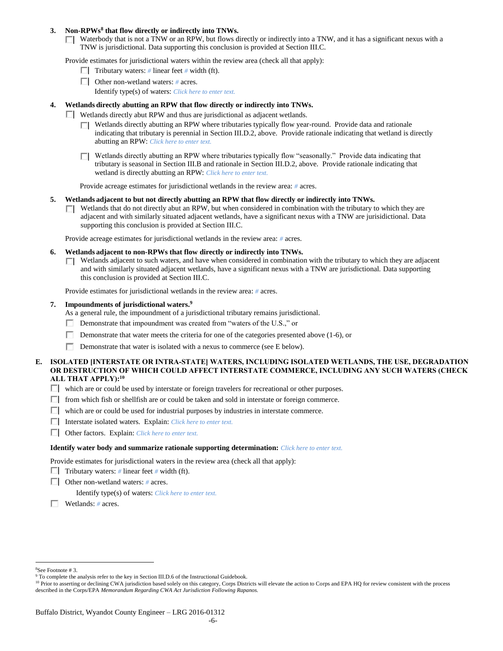## **3. Non-RPWs<sup>8</sup> that flow directly or indirectly into TNWs.**

 $\Box$  Waterbody that is not a TNW or an RPW, but flows directly or indirectly into a TNW, and it has a significant nexus with a TNW is jurisdictional. Data supporting this conclusion is provided at Section III.C.

Provide estimates for jurisdictional waters within the review area (check all that apply):

- **Tributary waters:** # linear feet # width (ft).
- Other non-wetland waters: *#* acres.
	- Identify type(s) of waters: *Click here to enter text.*

## **4. Wetlands directly abutting an RPW that flow directly or indirectly into TNWs.**

- Wetlands directly abut RPW and thus are jurisdictional as adjacent wetlands.
	- $\Box$  Wetlands directly abutting an RPW where tributaries typically flow year-round. Provide data and rationale indicating that tributary is perennial in Section III.D.2, above. Provide rationale indicating that wetland is directly abutting an RPW: *Click here to enter text.*
	- $\Box$  Wetlands directly abutting an RPW where tributaries typically flow "seasonally." Provide data indicating that tributary is seasonal in Section III.B and rationale in Section III.D.2, above. Provide rationale indicating that wetland is directly abutting an RPW: *Click here to enter text.*

Provide acreage estimates for jurisdictional wetlands in the review area: *#* acres.

- **5. Wetlands adjacent to but not directly abutting an RPW that flow directly or indirectly into TNWs.**
	- $\Box$  Wetlands that do not directly abut an RPW, but when considered in combination with the tributary to which they are adjacent and with similarly situated adjacent wetlands, have a significant nexus with a TNW are jurisidictional. Data supporting this conclusion is provided at Section III.C.

Provide acreage estimates for jurisdictional wetlands in the review area: *#* acres.

- **6. Wetlands adjacent to non-RPWs that flow directly or indirectly into TNWs.** 
	- □ Wetlands adjacent to such waters, and have when considered in combination with the tributary to which they are adjacent and with similarly situated adjacent wetlands, have a significant nexus with a TNW are jurisdictional. Data supporting this conclusion is provided at Section III.C.

Provide estimates for jurisdictional wetlands in the review area: *#* acres.

#### **7. Impoundments of jurisdictional waters. 9**

As a general rule, the impoundment of a jurisdictional tributary remains jurisdictional.

- Demonstrate that impoundment was created from "waters of the U.S.," or
- Demonstrate that water meets the criteria for one of the categories presented above (1-6), or
- П. Demonstrate that water is isolated with a nexus to commerce (see E below).
- **E. ISOLATED [INTERSTATE OR INTRA-STATE] WATERS, INCLUDING ISOLATED WETLANDS, THE USE, DEGRADATION OR DESTRUCTION OF WHICH COULD AFFECT INTERSTATE COMMERCE, INCLUDING ANY SUCH WATERS (CHECK ALL THAT APPLY):<sup>10</sup>**
	- $\Box$  which are or could be used by interstate or foreign travelers for recreational or other purposes.
	- $\Box$  from which fish or shellfish are or could be taken and sold in interstate or foreign commerce.
	- $\Box$  which are or could be used for industrial purposes by industries in interstate commerce.
	- Interstate isolated waters.Explain: *Click here to enter text.*
	- Other factors.Explain: *Click here to enter text.*

#### **Identify water body and summarize rationale supporting determination:** *Click here to enter text.*

Provide estimates for jurisdictional waters in the review area (check all that apply):

- **Tributary waters:** # linear feet # width (ft).
- Other non-wetland waters: *#* acres.

Identify type(s) of waters: *Click here to enter text.*

Wetlands: *#* acres.

 $\overline{a}$ <sup>8</sup>See Footnote # 3.

<sup>&</sup>lt;sup>9</sup> To complete the analysis refer to the key in Section III.D.6 of the Instructional Guidebook.

<sup>&</sup>lt;sup>10</sup> Prior to asserting or declining CWA jurisdiction based solely on this category, Corps Districts will elevate the action to Corps and EPA HQ for review consistent with the process described in the Corps/EPA *Memorandum Regarding CWA Act Jurisdiction Following Rapanos.*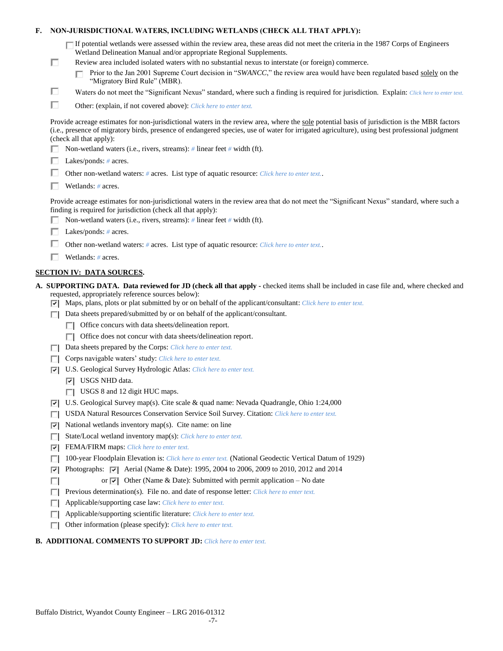| F. |   | NON-JURISDICTIONAL WATERS, INCLUDING WETLANDS (CHECK ALL THAT APPLY):                                                                                                                                                                                                                                                     |
|----|---|---------------------------------------------------------------------------------------------------------------------------------------------------------------------------------------------------------------------------------------------------------------------------------------------------------------------------|
|    |   | $\Box$ If potential wetlands were assessed within the review area, these areas did not meet the criteria in the 1987 Corps of Engineers<br>Wetland Delineation Manual and/or appropriate Regional Supplements.                                                                                                            |
|    | □ | Review area included isolated waters with no substantial nexus to interstate (or foreign) commerce.                                                                                                                                                                                                                       |
|    |   | Prior to the Jan 2001 Supreme Court decision in "SWANCC," the review area would have been regulated based solely on the<br>"Migratory Bird Rule" (MBR).                                                                                                                                                                   |
|    | □ | Waters do not meet the "Significant Nexus" standard, where such a finding is required for jurisdiction. Explain: Click here to enter text.                                                                                                                                                                                |
|    | П | Other: (explain, if not covered above): Click here to enter text.                                                                                                                                                                                                                                                         |
|    |   | Provide acreage estimates for non-jurisdictional waters in the review area, where the sole potential basis of jurisdiction is the MBR factors<br>(i.e., presence of migratory birds, presence of endangered species, use of water for irrigated agriculture), using best professional judgment<br>(check all that apply): |
|    |   | Non-wetland waters (i.e., rivers, streams): # linear feet # width (ft).                                                                                                                                                                                                                                                   |
|    |   | Lakes/ponds: $# \, \text{acres.}$                                                                                                                                                                                                                                                                                         |
|    |   | Other non-wetland waters: # acres. List type of aquatic resource: Click here to enter text                                                                                                                                                                                                                                |
|    |   | Wetlands: $#$ acres.                                                                                                                                                                                                                                                                                                      |
|    |   | Provide acreage estimates for non-jurisdictional waters in the review area that do not meet the "Significant Nexus" standard, where such a<br>finding is required for jurisdiction (check all that apply):<br>Non-wetland waters (i.e., rivers, streams): $#$ linear feet $#$ width (ft).                                 |
|    |   | Lakes/ponds: $# \, \text{acres.}$                                                                                                                                                                                                                                                                                         |
|    |   | Other non-wetland waters: # acres. List type of aquatic resource: Click here to enter text                                                                                                                                                                                                                                |
|    |   | Wetlands: $#$ acres.                                                                                                                                                                                                                                                                                                      |
|    |   |                                                                                                                                                                                                                                                                                                                           |
|    |   | <b>SECTION IV: DATA SOURCES.</b>                                                                                                                                                                                                                                                                                          |
|    |   | A. SUPPORTING DATA. Data reviewed for JD (check all that apply - checked items shall be included in case file and, where checked and<br>requested, appropriately reference sources below):<br>$\triangledown$ Maps, plans, plots or plat submitted by or on behalf of the applicant/consultant: Click here to enter text. |
|    | ш | Data sheets prepared/submitted by or on behalf of the applicant/consultant.                                                                                                                                                                                                                                               |
|    |   | Office concurs with data sheets/delineation report.                                                                                                                                                                                                                                                                       |
|    |   | Office does not concur with data sheets/delineation report.                                                                                                                                                                                                                                                               |
|    | П | Data sheets prepared by the Corps: Click here to enter text.                                                                                                                                                                                                                                                              |
|    |   | Corps navigable waters' study: Click here to enter text.                                                                                                                                                                                                                                                                  |
|    | 罓 | U.S. Geological Survey Hydrologic Atlas: Click here to enter text.                                                                                                                                                                                                                                                        |
|    |   | $ \overline{v} $ USGS NHD data.                                                                                                                                                                                                                                                                                           |
|    |   | $\Box$ USGS 8 and 12 digit HUC maps.                                                                                                                                                                                                                                                                                      |
|    | 罓 | U.S. Geological Survey map(s). Cite scale & quad name: Nevada Quadrangle, Ohio 1:24,000                                                                                                                                                                                                                                   |
|    |   | USDA Natural Resources Conservation Service Soil Survey. Citation: Click here to enter text.                                                                                                                                                                                                                              |
|    | ⊽ | National wetlands inventory map(s). Cite name: on line                                                                                                                                                                                                                                                                    |
|    | п | State/Local wetland inventory map(s): Click here to enter text.                                                                                                                                                                                                                                                           |
|    | 罓 | FEMA/FIRM maps: Click here to enter text.                                                                                                                                                                                                                                                                                 |
|    | п | 100-year Floodplain Elevation is: Click here to enter text. (National Geodectic Vertical Datum of 1929)                                                                                                                                                                                                                   |
|    | ⊽ | Photographs: $\boxed{\checkmark}$ Aerial (Name & Date): 1995, 2004 to 2006, 2009 to 2010, 2012 and 2014                                                                                                                                                                                                                   |
|    |   | or $\overline{ \mathbf{v} }$ Other (Name & Date): Submitted with permit application – No date                                                                                                                                                                                                                             |
|    | п | Previous determination(s). File no. and date of response letter: Click here to enter text.                                                                                                                                                                                                                                |
|    | П | Applicable/supporting case law: Click here to enter text.                                                                                                                                                                                                                                                                 |
|    | Е | Applicable/supporting scientific literature: Click here to enter text.                                                                                                                                                                                                                                                    |
|    |   | Other information (please specify): Click here to enter text.                                                                                                                                                                                                                                                             |

## **B. ADDITIONAL COMMENTS TO SUPPORT JD:** *Click here to enter text.*